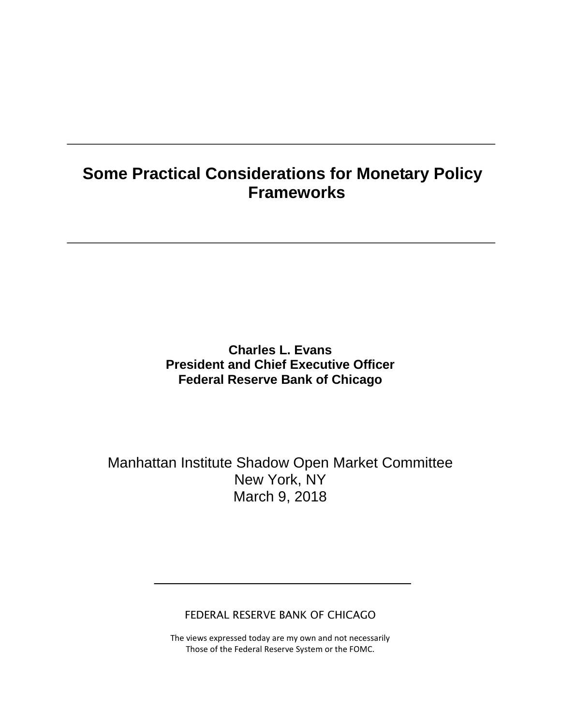# **Some Practical Considerations for Monetary Policy Frameworks**

### **Charles L. Evans President and Chief Executive Officer Federal Reserve Bank of Chicago**

Manhattan Institute Shadow Open Market Committee New York, NY March 9, 2018

FEDERAL RESERVE BANK OF CHICAGO

The views expressed today are my own and not necessarily Those of the Federal Reserve System or the FOMC.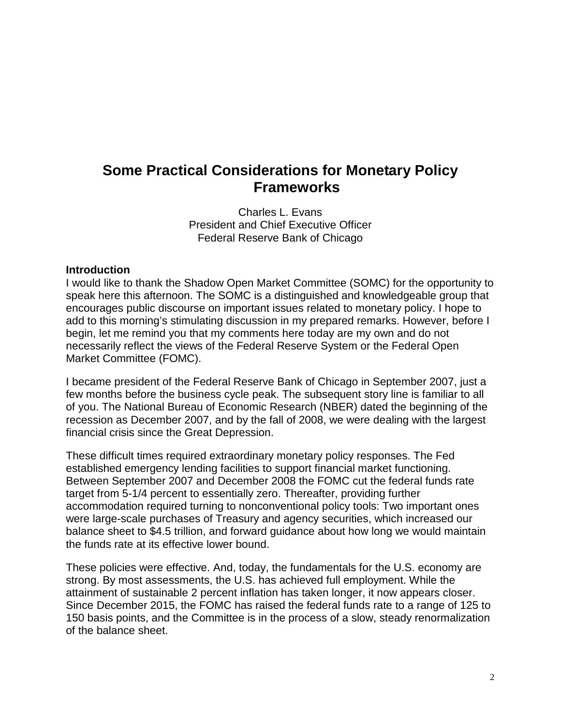## **Some Practical Considerations for Monetary Policy Frameworks**

Charles L. Evans President and Chief Executive Officer Federal Reserve Bank of Chicago

#### **Introduction**

I would like to thank the Shadow Open Market Committee (SOMC) for the opportunity to speak here this afternoon. The SOMC is a distinguished and knowledgeable group that encourages public discourse on important issues related to monetary policy. I hope to add to this morning's stimulating discussion in my prepared remarks. However, before I begin, let me remind you that my comments here today are my own and do not necessarily reflect the views of the Federal Reserve System or the Federal Open Market Committee (FOMC).

I became president of the Federal Reserve Bank of Chicago in September 2007, just a few months before the business cycle peak. The subsequent story line is familiar to all of you. The National Bureau of Economic Research (NBER) dated the beginning of the recession as December 2007, and by the fall of 2008, we were dealing with the largest financial crisis since the Great Depression.

These difficult times required extraordinary monetary policy responses. The Fed established emergency lending facilities to support financial market functioning. Between September 2007 and December 2008 the FOMC cut the federal funds rate target from 5-1/4 percent to essentially zero. Thereafter, providing further accommodation required turning to nonconventional policy tools: Two important ones were large-scale purchases of Treasury and agency securities, which increased our balance sheet to \$4.5 trillion, and forward guidance about how long we would maintain the funds rate at its effective lower bound.

These policies were effective. And, today, the fundamentals for the U.S. economy are strong. By most assessments, the U.S. has achieved full employment. While the attainment of sustainable 2 percent inflation has taken longer, it now appears closer. Since December 2015, the FOMC has raised the federal funds rate to a range of 125 to 150 basis points, and the Committee is in the process of a slow, steady renormalization of the balance sheet.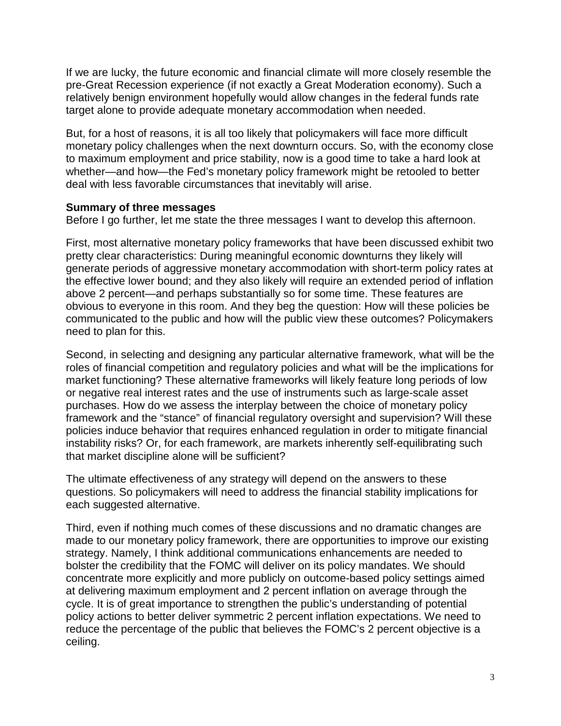If we are lucky, the future economic and financial climate will more closely resemble the pre-Great Recession experience (if not exactly a Great Moderation economy). Such a relatively benign environment hopefully would allow changes in the federal funds rate target alone to provide adequate monetary accommodation when needed.

But, for a host of reasons, it is all too likely that policymakers will face more difficult monetary policy challenges when the next downturn occurs. So, with the economy close to maximum employment and price stability, now is a good time to take a hard look at whether—and how—the Fed's monetary policy framework might be retooled to better deal with less favorable circumstances that inevitably will arise.

#### **Summary of three messages**

Before I go further, let me state the three messages I want to develop this afternoon.

First, most alternative monetary policy frameworks that have been discussed exhibit two pretty clear characteristics: During meaningful economic downturns they likely will generate periods of aggressive monetary accommodation with short-term policy rates at the effective lower bound; and they also likely will require an extended period of inflation above 2 percent—and perhaps substantially so for some time. These features are obvious to everyone in this room. And they beg the question: How will these policies be communicated to the public and how will the public view these outcomes? Policymakers need to plan for this.

Second, in selecting and designing any particular alternative framework, what will be the roles of financial competition and regulatory policies and what will be the implications for market functioning? These alternative frameworks will likely feature long periods of low or negative real interest rates and the use of instruments such as large-scale asset purchases. How do we assess the interplay between the choice of monetary policy framework and the "stance" of financial regulatory oversight and supervision? Will these policies induce behavior that requires enhanced regulation in order to mitigate financial instability risks? Or, for each framework, are markets inherently self-equilibrating such that market discipline alone will be sufficient?

The ultimate effectiveness of any strategy will depend on the answers to these questions. So policymakers will need to address the financial stability implications for each suggested alternative.

Third, even if nothing much comes of these discussions and no dramatic changes are made to our monetary policy framework, there are opportunities to improve our existing strategy. Namely, I think additional communications enhancements are needed to bolster the credibility that the FOMC will deliver on its policy mandates. We should concentrate more explicitly and more publicly on outcome-based policy settings aimed at delivering maximum employment and 2 percent inflation on average through the cycle. It is of great importance to strengthen the public's understanding of potential policy actions to better deliver symmetric 2 percent inflation expectations. We need to reduce the percentage of the public that believes the FOMC's 2 percent objective is a ceiling.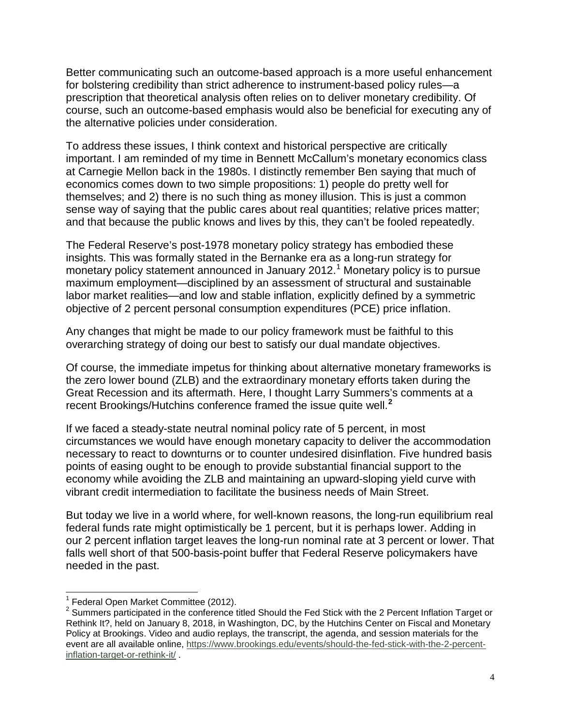Better communicating such an outcome-based approach is a more useful enhancement for bolstering credibility than strict adherence to instrument-based policy rules—a prescription that theoretical analysis often relies on to deliver monetary credibility. Of course, such an outcome-based emphasis would also be beneficial for executing any of the alternative policies under consideration.

To address these issues, I think context and historical perspective are critically important. I am reminded of my time in Bennett McCallum's monetary economics class at Carnegie Mellon back in the 1980s. I distinctly remember Ben saying that much of economics comes down to two simple propositions: 1) people do pretty well for themselves; and 2) there is no such thing as money illusion. This is just a common sense way of saying that the public cares about real quantities; relative prices matter; and that because the public knows and lives by this, they can't be fooled repeatedly.

The Federal Reserve's post-1978 monetary policy strategy has embodied these insights. This was formally stated in the Bernanke era as a long-run strategy for monetary policy statement announced in January 20[1](#page-3-0)2.<sup>1</sup> Monetary policy is to pursue maximum employment—disciplined by an assessment of structural and sustainable labor market realities—and low and stable inflation, explicitly defined by a symmetric objective of 2 percent personal consumption expenditures (PCE) price inflation.

Any changes that might be made to our policy framework must be faithful to this overarching strategy of doing our best to satisfy our dual mandate objectives.

Of course, the immediate impetus for thinking about alternative monetary frameworks is the zero lower bound (ZLB) and the extraordinary monetary efforts taken during the Great Recession and its aftermath. Here, I thought Larry Summers's comments at a recent Brookings/Hutchins conference framed the issue quite well.**[2](#page-3-1)**

If we faced a steady-state neutral nominal policy rate of 5 percent, in most circumstances we would have enough monetary capacity to deliver the accommodation necessary to react to downturns or to counter undesired disinflation. Five hundred basis points of easing ought to be enough to provide substantial financial support to the economy while avoiding the ZLB and maintaining an upward-sloping yield curve with vibrant credit intermediation to facilitate the business needs of Main Street.

But today we live in a world where, for well-known reasons, the long-run equilibrium real federal funds rate might optimistically be 1 percent, but it is perhaps lower. Adding in our 2 percent inflation target leaves the long-run nominal rate at 3 percent or lower. That falls well short of that 500-basis-point buffer that Federal Reserve policymakers have needed in the past.

<span id="page-3-0"></span> $1$  Federal Open Market Committee (2012).

<span id="page-3-1"></span><sup>&</sup>lt;sup>2</sup> Summers participated in the conference titled Should the Fed Stick with the 2 Percent Inflation Target or Rethink It?, held on January 8, 2018, in Washington, DC, by the Hutchins Center on Fiscal and Monetary Policy at Brookings. Video and audio replays, the transcript, the agenda, and session materials for the event are all available online, [https://www.brookings.edu/events/should-the-fed-stick-with-the-2-percent](https://www.brookings.edu/events/should-the-fed-stick-with-the-2-percent-inflation-target-or-rethink-it/)[inflation-target-or-rethink-it/](https://www.brookings.edu/events/should-the-fed-stick-with-the-2-percent-inflation-target-or-rethink-it/) .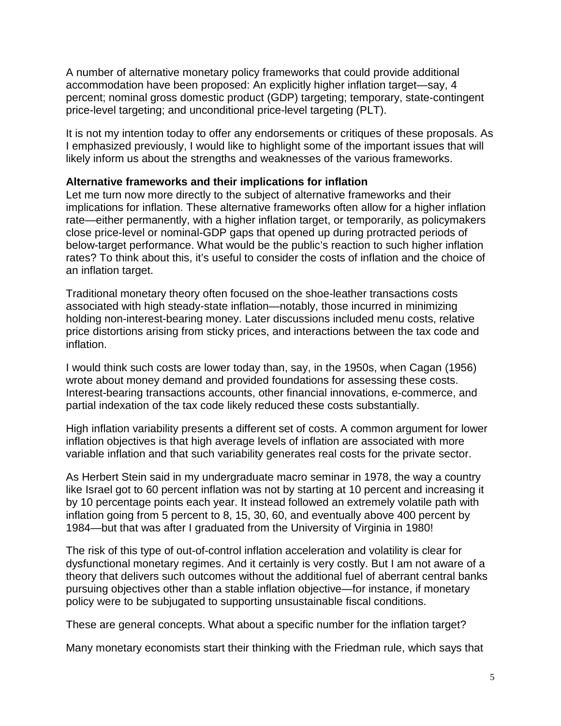A number of alternative monetary policy frameworks that could provide additional accommodation have been proposed: An explicitly higher inflation target—say, 4 percent; nominal gross domestic product (GDP) targeting; temporary, state-contingent price-level targeting; and unconditional price-level targeting (PLT).

It is not my intention today to offer any endorsements or critiques of these proposals. As I emphasized previously, I would like to highlight some of the important issues that will likely inform us about the strengths and weaknesses of the various frameworks.

#### **Alternative frameworks and their implications for inflation**

Let me turn now more directly to the subject of alternative frameworks and their implications for inflation. These alternative frameworks often allow for a higher inflation rate—either permanently, with a higher inflation target, or temporarily, as policymakers close price-level or nominal-GDP gaps that opened up during protracted periods of below-target performance. What would be the public's reaction to such higher inflation rates? To think about this, it's useful to consider the costs of inflation and the choice of an inflation target.

Traditional monetary theory often focused on the shoe-leather transactions costs associated with high steady-state inflation—notably, those incurred in minimizing holding non-interest-bearing money. Later discussions included menu costs, relative price distortions arising from sticky prices, and interactions between the tax code and inflation.

I would think such costs are lower today than, say, in the 1950s, when Cagan (1956) wrote about money demand and provided foundations for assessing these costs. Interest-bearing transactions accounts, other financial innovations, e-commerce, and partial indexation of the tax code likely reduced these costs substantially.

High inflation variability presents a different set of costs. A common argument for lower inflation objectives is that high average levels of inflation are associated with more variable inflation and that such variability generates real costs for the private sector.

As Herbert Stein said in my undergraduate macro seminar in 1978, the way a country like Israel got to 60 percent inflation was not by starting at 10 percent and increasing it by 10 percentage points each year. It instead followed an extremely volatile path with inflation going from 5 percent to 8, 15, 30, 60, and eventually above 400 percent by 1984—but that was after I graduated from the University of Virginia in 1980!

The risk of this type of out-of-control inflation acceleration and volatility is clear for dysfunctional monetary regimes. And it certainly is very costly. But I am not aware of a theory that delivers such outcomes without the additional fuel of aberrant central banks pursuing objectives other than a stable inflation objective—for instance, if monetary policy were to be subjugated to supporting unsustainable fiscal conditions.

These are general concepts. What about a specific number for the inflation target?

Many monetary economists start their thinking with the Friedman rule, which says that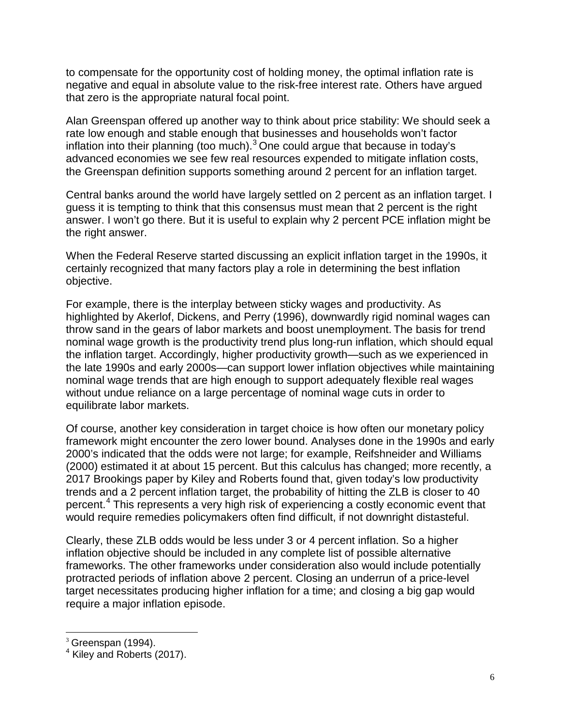to compensate for the opportunity cost of holding money, the optimal inflation rate is negative and equal in absolute value to the risk-free interest rate. Others have argued that zero is the appropriate natural focal point.

Alan Greenspan offered up another way to think about price stability: We should seek a rate low enough and stable enough that businesses and households won't factor inflation into their planning (too much). $3$  One could argue that because in today's advanced economies we see few real resources expended to mitigate inflation costs, the Greenspan definition supports something around 2 percent for an inflation target.

Central banks around the world have largely settled on 2 percent as an inflation target. I guess it is tempting to think that this consensus must mean that 2 percent is the right answer. I won't go there. But it is useful to explain why 2 percent PCE inflation might be the right answer.

When the Federal Reserve started discussing an explicit inflation target in the 1990s, it certainly recognized that many factors play a role in determining the best inflation objective.

For example, there is the interplay between sticky wages and productivity. As highlighted by Akerlof, Dickens, and Perry (1996), downwardly rigid nominal wages can throw sand in the gears of labor markets and boost unemployment. The basis for trend nominal wage growth is the productivity trend plus long-run inflation, which should equal the inflation target. Accordingly, higher productivity growth—such as we experienced in the late 1990s and early 2000s—can support lower inflation objectives while maintaining nominal wage trends that are high enough to support adequately flexible real wages without undue reliance on a large percentage of nominal wage cuts in order to equilibrate labor markets.

Of course, another key consideration in target choice is how often our monetary policy framework might encounter the zero lower bound. Analyses done in the 1990s and early 2000's indicated that the odds were not large; for example, Reifshneider and Williams (2000) estimated it at about 15 percent. But this calculus has changed; more recently, a 2017 Brookings paper by Kiley and Roberts found that, given today's low productivity trends and a 2 percent inflation target, the probability of hitting the ZLB is closer to 40 percent.<sup>[4](#page-5-1)</sup> This represents a very high risk of experiencing a costly economic event that would require remedies policymakers often find difficult, if not downright distasteful.

Clearly, these ZLB odds would be less under 3 or 4 percent inflation. So a higher inflation objective should be included in any complete list of possible alternative frameworks. The other frameworks under consideration also would include potentially protracted periods of inflation above 2 percent. Closing an underrun of a price-level target necessitates producing higher inflation for a time; and closing a big gap would require a major inflation episode.

<span id="page-5-0"></span> $3$  Greenspan (1994).

<span id="page-5-1"></span><sup>4</sup> Kiley and Roberts (2017).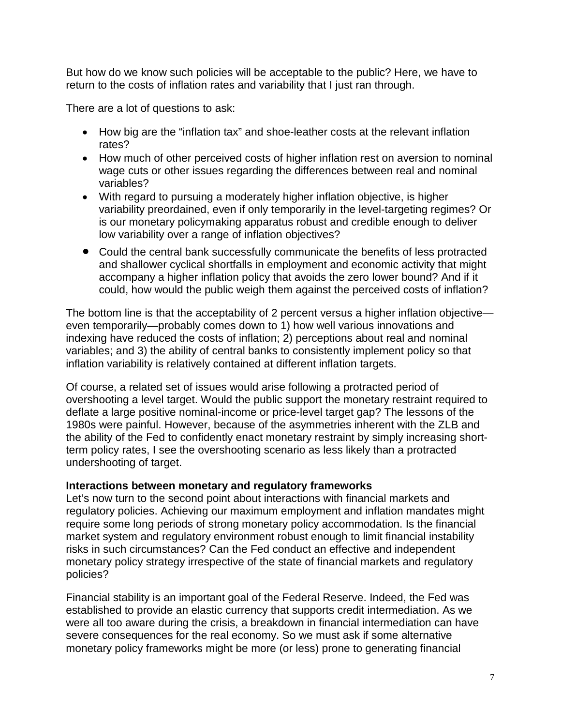But how do we know such policies will be acceptable to the public? Here, we have to return to the costs of inflation rates and variability that I just ran through.

There are a lot of questions to ask:

- How big are the "inflation tax" and shoe-leather costs at the relevant inflation rates?
- How much of other perceived costs of higher inflation rest on aversion to nominal wage cuts or other issues regarding the differences between real and nominal variables?
- With regard to pursuing a moderately higher inflation objective, is higher variability preordained, even if only temporarily in the level-targeting regimes? Or is our monetary policymaking apparatus robust and credible enough to deliver low variability over a range of inflation objectives?
- Could the central bank successfully communicate the benefits of less protracted and shallower cyclical shortfalls in employment and economic activity that might accompany a higher inflation policy that avoids the zero lower bound? And if it could, how would the public weigh them against the perceived costs of inflation?

The bottom line is that the acceptability of 2 percent versus a higher inflation objective even temporarily—probably comes down to 1) how well various innovations and indexing have reduced the costs of inflation; 2) perceptions about real and nominal variables; and 3) the ability of central banks to consistently implement policy so that inflation variability is relatively contained at different inflation targets.

Of course, a related set of issues would arise following a protracted period of overshooting a level target. Would the public support the monetary restraint required to deflate a large positive nominal-income or price-level target gap? The lessons of the 1980s were painful. However, because of the asymmetries inherent with the ZLB and the ability of the Fed to confidently enact monetary restraint by simply increasing shortterm policy rates, I see the overshooting scenario as less likely than a protracted undershooting of target.

#### **Interactions between monetary and regulatory frameworks**

Let's now turn to the second point about interactions with financial markets and regulatory policies. Achieving our maximum employment and inflation mandates might require some long periods of strong monetary policy accommodation. Is the financial market system and regulatory environment robust enough to limit financial instability risks in such circumstances? Can the Fed conduct an effective and independent monetary policy strategy irrespective of the state of financial markets and regulatory policies?

Financial stability is an important goal of the Federal Reserve. Indeed, the Fed was established to provide an elastic currency that supports credit intermediation. As we were all too aware during the crisis, a breakdown in financial intermediation can have severe consequences for the real economy. So we must ask if some alternative monetary policy frameworks might be more (or less) prone to generating financial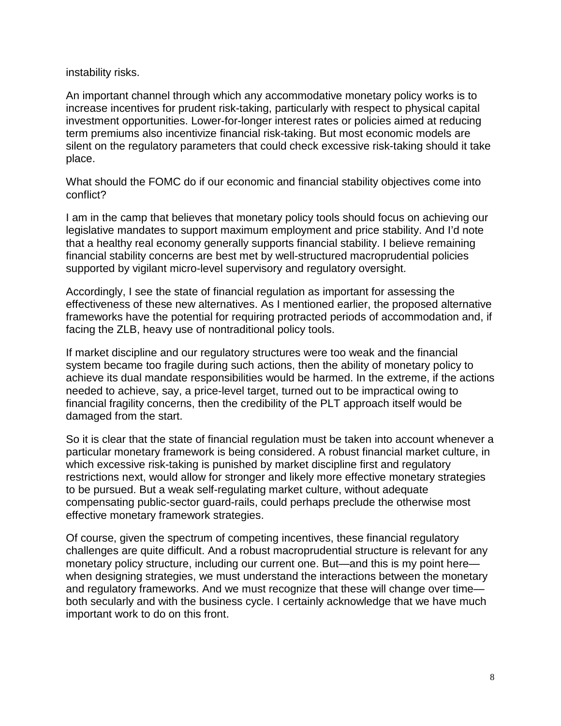instability risks.

An important channel through which any accommodative monetary policy works is to increase incentives for prudent risk-taking, particularly with respect to physical capital investment opportunities. Lower-for-longer interest rates or policies aimed at reducing term premiums also incentivize financial risk-taking. But most economic models are silent on the regulatory parameters that could check excessive risk-taking should it take place.

What should the FOMC do if our economic and financial stability objectives come into conflict?

I am in the camp that believes that monetary policy tools should focus on achieving our legislative mandates to support maximum employment and price stability. And I'd note that a healthy real economy generally supports financial stability. I believe remaining financial stability concerns are best met by well-structured macroprudential policies supported by vigilant micro-level supervisory and regulatory oversight.

Accordingly, I see the state of financial regulation as important for assessing the effectiveness of these new alternatives. As I mentioned earlier, the proposed alternative frameworks have the potential for requiring protracted periods of accommodation and, if facing the ZLB, heavy use of nontraditional policy tools.

If market discipline and our regulatory structures were too weak and the financial system became too fragile during such actions, then the ability of monetary policy to achieve its dual mandate responsibilities would be harmed. In the extreme, if the actions needed to achieve, say, a price-level target, turned out to be impractical owing to financial fragility concerns, then the credibility of the PLT approach itself would be damaged from the start.

So it is clear that the state of financial regulation must be taken into account whenever a particular monetary framework is being considered. A robust financial market culture, in which excessive risk-taking is punished by market discipline first and regulatory restrictions next, would allow for stronger and likely more effective monetary strategies to be pursued. But a weak self-regulating market culture, without adequate compensating public-sector guard-rails, could perhaps preclude the otherwise most effective monetary framework strategies.

Of course, given the spectrum of competing incentives, these financial regulatory challenges are quite difficult. And a robust macroprudential structure is relevant for any monetary policy structure, including our current one. But—and this is my point here when designing strategies, we must understand the interactions between the monetary and regulatory frameworks. And we must recognize that these will change over time both secularly and with the business cycle. I certainly acknowledge that we have much important work to do on this front.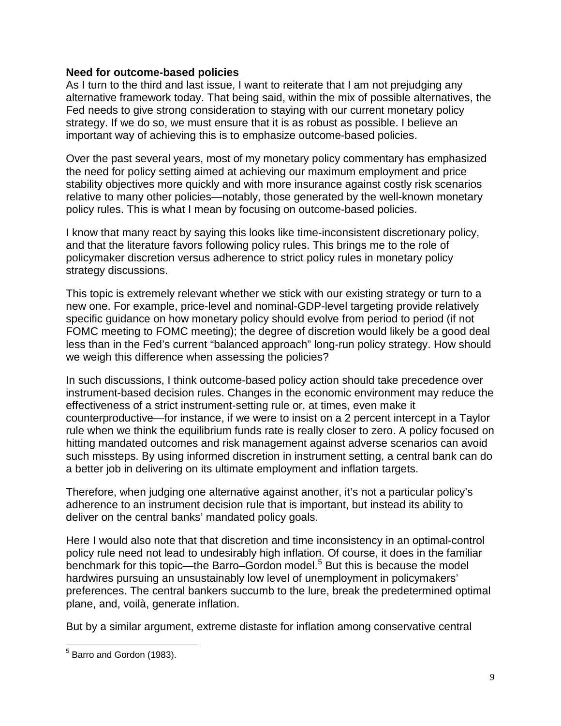#### **Need for outcome-based policies**

As I turn to the third and last issue, I want to reiterate that I am not prejudging any alternative framework today. That being said, within the mix of possible alternatives, the Fed needs to give strong consideration to staying with our current monetary policy strategy. If we do so, we must ensure that it is as robust as possible. I believe an important way of achieving this is to emphasize outcome-based policies.

Over the past several years, most of my monetary policy commentary has emphasized the need for policy setting aimed at achieving our maximum employment and price stability objectives more quickly and with more insurance against costly risk scenarios relative to many other policies—notably, those generated by the well-known monetary policy rules. This is what I mean by focusing on outcome-based policies.

I know that many react by saying this looks like time-inconsistent discretionary policy, and that the literature favors following policy rules. This brings me to the role of policymaker discretion versus adherence to strict policy rules in monetary policy strategy discussions.

This topic is extremely relevant whether we stick with our existing strategy or turn to a new one. For example, price-level and nominal-GDP-level targeting provide relatively specific guidance on how monetary policy should evolve from period to period (if not FOMC meeting to FOMC meeting); the degree of discretion would likely be a good deal less than in the Fed's current "balanced approach" long-run policy strategy. How should we weigh this difference when assessing the policies?

In such discussions, I think outcome-based policy action should take precedence over instrument-based decision rules. Changes in the economic environment may reduce the effectiveness of a strict instrument-setting rule or, at times, even make it counterproductive—for instance, if we were to insist on a 2 percent intercept in a Taylor rule when we think the equilibrium funds rate is really closer to zero. A policy focused on hitting mandated outcomes and risk management against adverse scenarios can avoid such missteps. By using informed discretion in instrument setting, a central bank can do a better job in delivering on its ultimate employment and inflation targets.

Therefore, when judging one alternative against another, it's not a particular policy's adherence to an instrument decision rule that is important, but instead its ability to deliver on the central banks' mandated policy goals.

Here I would also note that that discretion and time inconsistency in an optimal-control policy rule need not lead to undesirably high inflation. Of course, it does in the familiar benchmark for this topic—the Barro–Gordon model.<sup>[5](#page-8-0)</sup> But this is because the model hardwires pursuing an unsustainably low level of unemployment in policymakers' preferences. The central bankers succumb to the lure, break the predetermined optimal plane, and, voilà, generate inflation.

But by a similar argument, extreme distaste for inflation among conservative central

<span id="page-8-0"></span><sup>5</sup> Barro and Gordon (1983).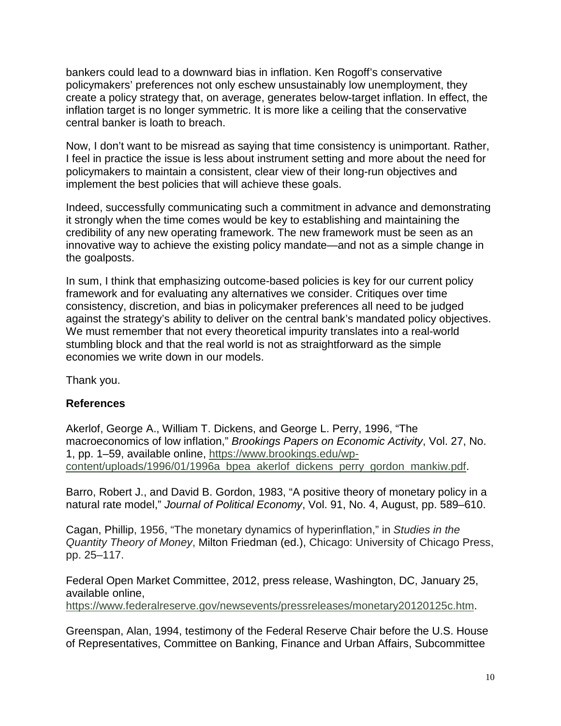bankers could lead to a downward bias in inflation. Ken Rogoff's conservative policymakers' preferences not only eschew unsustainably low unemployment, they create a policy strategy that, on average, generates below-target inflation. In effect, the inflation target is no longer symmetric. It is more like a ceiling that the conservative central banker is loath to breach.

Now, I don't want to be misread as saying that time consistency is unimportant. Rather, I feel in practice the issue is less about instrument setting and more about the need for policymakers to maintain a consistent, clear view of their long-run objectives and implement the best policies that will achieve these goals.

Indeed, successfully communicating such a commitment in advance and demonstrating it strongly when the time comes would be key to establishing and maintaining the credibility of any new operating framework. The new framework must be seen as an innovative way to achieve the existing policy mandate—and not as a simple change in the goalposts.

In sum, I think that emphasizing outcome-based policies is key for our current policy framework and for evaluating any alternatives we consider. Critiques over time consistency, discretion, and bias in policymaker preferences all need to be judged against the strategy's ability to deliver on the central bank's mandated policy objectives. We must remember that not every theoretical impurity translates into a real-world stumbling block and that the real world is not as straightforward as the simple economies we write down in our models.

Thank you.

#### **References**

Akerlof, George A., William T. Dickens, and George L. Perry, 1996, "The macroeconomics of low inflation," *Brookings Papers on Economic Activity*, Vol. 27, No. 1, pp. 1–59, available online, [https://www.brookings.edu/wp](https://www.brookings.edu/wp-content/uploads/1996/01/1996a_bpea_akerlof_dickens_perry_gordon_mankiw.pdf)[content/uploads/1996/01/1996a\\_bpea\\_akerlof\\_dickens\\_perry\\_gordon\\_mankiw.pdf.](https://www.brookings.edu/wp-content/uploads/1996/01/1996a_bpea_akerlof_dickens_perry_gordon_mankiw.pdf)

Barro, Robert J., and David B. Gordon, 1983, "A positive theory of monetary policy in a natural rate model," *Journal of Political Economy*, Vol. 91, No. 4, August, pp. 589–610.

Cagan, Phillip, 1956, "The monetary dynamics of hyperinflation," in *Studies in the Quantity Theory of Money*, Milton Friedman (ed.), Chicago: University of Chicago Press, pp. 25–117.

Federal Open Market Committee, 2012, press release, Washington, DC, January 25, available online,

[https://www.federalreserve.gov/newsevents/pressreleases/monetary20120125c.htm.](https://www.federalreserve.gov/newsevents/pressreleases/monetary20120125c.htm)

Greenspan, Alan, 1994, testimony of the Federal Reserve Chair before the U.S. House of Representatives, Committee on Banking, Finance and Urban Affairs, Subcommittee